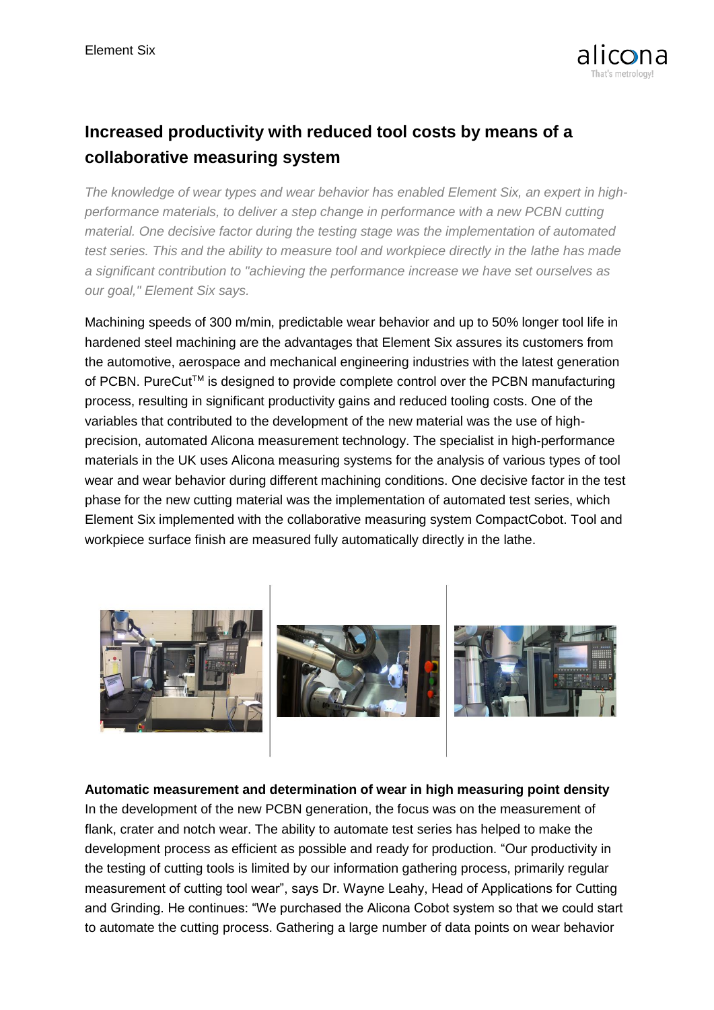

## **Increased productivity with reduced tool costs by means of a collaborative measuring system**

*The knowledge of wear types and wear behavior has enabled Element Six, an expert in highperformance materials, to deliver a step change in performance with a new PCBN cutting material. One decisive factor during the testing stage was the implementation of automated test series. This and the ability to measure tool and workpiece directly in the lathe has made a significant contribution to "achieving the performance increase we have set ourselves as our goal," Element Six says.*

Machining speeds of 300 m/min, predictable wear behavior and up to 50% longer tool life in hardened steel machining are the advantages that Element Six assures its customers from the automotive, aerospace and mechanical engineering industries with the latest generation of PCBN. PureCut<sup>™</sup> is designed to provide complete control over the PCBN manufacturing process, resulting in significant productivity gains and reduced tooling costs. One of the variables that contributed to the development of the new material was the use of highprecision, automated Alicona measurement technology. The specialist in high-performance materials in the UK uses Alicona measuring systems for the analysis of various types of tool wear and wear behavior during different machining conditions. One decisive factor in the test phase for the new cutting material was the implementation of automated test series, which Element Six implemented with the collaborative measuring system CompactCobot. Tool and workpiece surface finish are measured fully automatically directly in the lathe.



**Automatic measurement and determination of wear in high measuring point density** In the development of the new PCBN generation, the focus was on the measurement of flank, crater and notch wear. The ability to automate test series has helped to make the development process as efficient as possible and ready for production. "Our productivity in the testing of cutting tools is limited by our information gathering process, primarily regular measurement of cutting tool wear", says Dr. Wayne Leahy, Head of Applications for Cutting and Grinding. He continues: "We purchased the Alicona Cobot system so that we could start to automate the cutting process. Gathering a large number of data points on wear behavior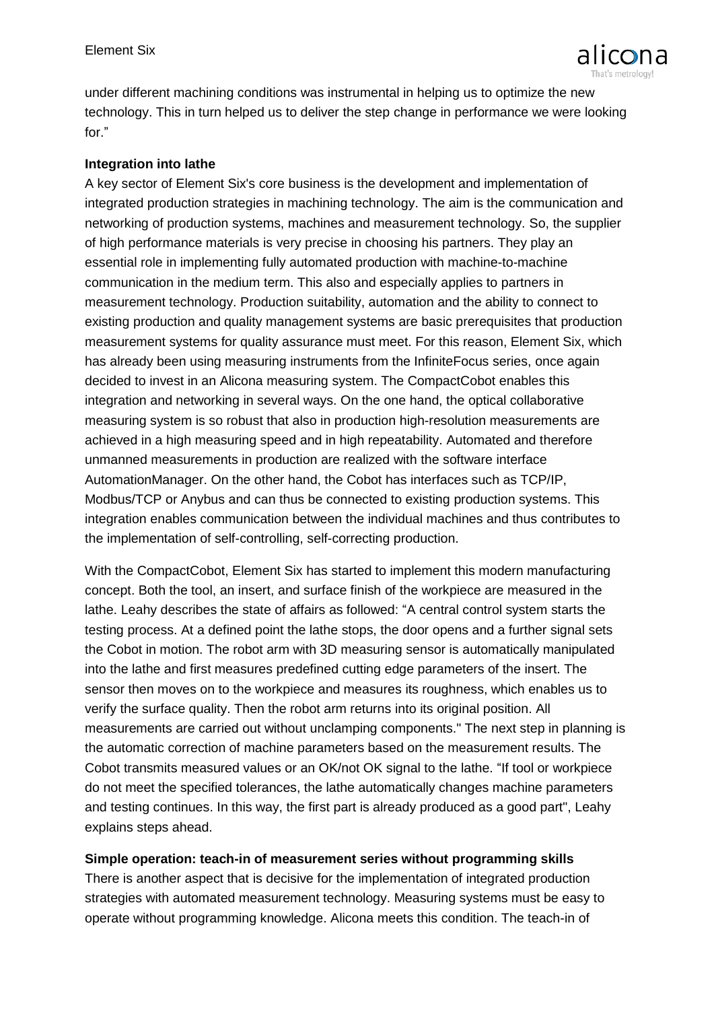

under different machining conditions was instrumental in helping us to optimize the new technology. This in turn helped us to deliver the step change in performance we were looking for."

## **Integration into lathe**

A key sector of Element Six's core business is the development and implementation of integrated production strategies in machining technology. The aim is the communication and networking of production systems, machines and measurement technology. So, the supplier of high performance materials is very precise in choosing his partners. They play an essential role in implementing fully automated production with machine-to-machine communication in the medium term. This also and especially applies to partners in measurement technology. Production suitability, automation and the ability to connect to existing production and quality management systems are basic prerequisites that production measurement systems for quality assurance must meet. For this reason, Element Six, which has already been using measuring instruments from the InfiniteFocus series, once again decided to invest in an Alicona measuring system. The CompactCobot enables this integration and networking in several ways. On the one hand, the optical collaborative measuring system is so robust that also in production high-resolution measurements are achieved in a high measuring speed and in high repeatability. Automated and therefore unmanned measurements in production are realized with the software interface AutomationManager. On the other hand, the Cobot has interfaces such as TCP/IP, Modbus/TCP or Anybus and can thus be connected to existing production systems. This integration enables communication between the individual machines and thus contributes to the implementation of self-controlling, self-correcting production.

With the CompactCobot, Element Six has started to implement this modern manufacturing concept. Both the tool, an insert, and surface finish of the workpiece are measured in the lathe. Leahy describes the state of affairs as followed: "A central control system starts the testing process. At a defined point the lathe stops, the door opens and a further signal sets the Cobot in motion. The robot arm with 3D measuring sensor is automatically manipulated into the lathe and first measures predefined cutting edge parameters of the insert. The sensor then moves on to the workpiece and measures its roughness, which enables us to verify the surface quality. Then the robot arm returns into its original position. All measurements are carried out without unclamping components." The next step in planning is the automatic correction of machine parameters based on the measurement results. The Cobot transmits measured values or an OK/not OK signal to the lathe. "If tool or workpiece do not meet the specified tolerances, the lathe automatically changes machine parameters and testing continues. In this way, the first part is already produced as a good part", Leahy explains steps ahead.

## **Simple operation: teach-in of measurement series without programming skills**

There is another aspect that is decisive for the implementation of integrated production strategies with automated measurement technology. Measuring systems must be easy to operate without programming knowledge. Alicona meets this condition. The teach-in of